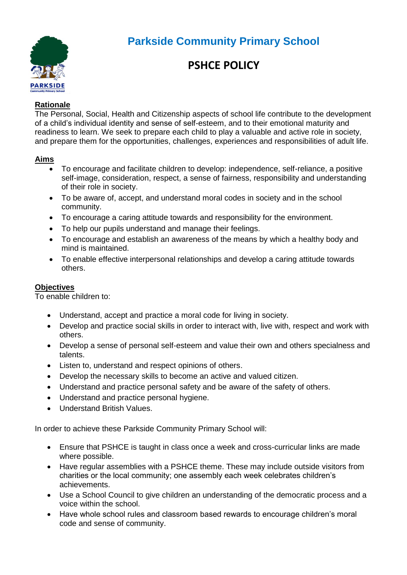

# **Parkside Community Primary School**

# **PSHCE POLICY**

## **Rationale**

The Personal, Social, Health and Citizenship aspects of school life contribute to the development of a child's individual identity and sense of self-esteem, and to their emotional maturity and readiness to learn. We seek to prepare each child to play a valuable and active role in society, and prepare them for the opportunities, challenges, experiences and responsibilities of adult life.

## **Aims**

- To encourage and facilitate children to develop: independence, self-reliance, a positive self-image, consideration, respect, a sense of fairness, responsibility and understanding of their role in society.
- To be aware of, accept, and understand moral codes in society and in the school community.
- To encourage a caring attitude towards and responsibility for the environment.
- To help our pupils understand and manage their feelings.
- To encourage and establish an awareness of the means by which a healthy body and mind is maintained.
- To enable effective interpersonal relationships and develop a caring attitude towards others.

## **Objectives**

To enable children to:

- Understand, accept and practice a moral code for living in society.
- Develop and practice social skills in order to interact with, live with, respect and work with others.
- Develop a sense of personal self-esteem and value their own and others specialness and talents.
- Listen to, understand and respect opinions of others.
- Develop the necessary skills to become an active and valued citizen.
- Understand and practice personal safety and be aware of the safety of others.
- Understand and practice personal hygiene.
- Understand British Values.

In order to achieve these Parkside Community Primary School will:

- Ensure that PSHCE is taught in class once a week and cross-curricular links are made where possible.
- Have regular assemblies with a PSHCE theme. These may include outside visitors from charities or the local community; one assembly each week celebrates children's achievements.
- Use a School Council to give children an understanding of the democratic process and a voice within the school.
- Have whole school rules and classroom based rewards to encourage children's moral code and sense of community.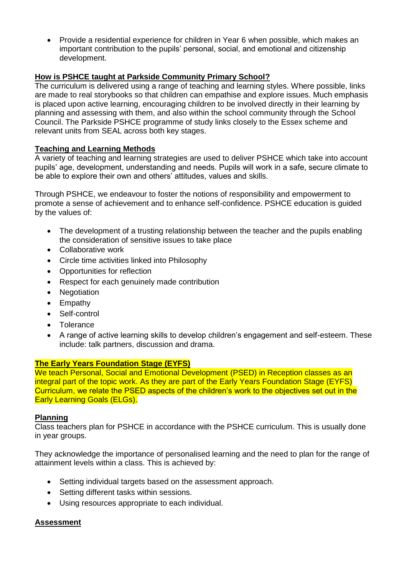• Provide a residential experience for children in Year 6 when possible, which makes an important contribution to the pupils' personal, social, and emotional and citizenship development.

## **How is PSHCE taught at Parkside Community Primary School?**

The curriculum is delivered using a range of teaching and learning styles. Where possible, links are made to real storybooks so that children can empathise and explore issues. Much emphasis is placed upon active learning, encouraging children to be involved directly in their learning by planning and assessing with them, and also within the school community through the School Council. The Parkside PSHCE programme of study links closely to the Essex scheme and relevant units from SEAL across both key stages.

## **Teaching and Learning Methods**

A variety of teaching and learning strategies are used to deliver PSHCE which take into account pupils' age, development, understanding and needs. Pupils will work in a safe, secure climate to be able to explore their own and others' attitudes, values and skills.

Through PSHCE, we endeavour to foster the notions of responsibility and empowerment to promote a sense of achievement and to enhance self-confidence. PSHCE education is guided by the values of:

- The development of a trusting relationship between the teacher and the pupils enabling the consideration of sensitive issues to take place
- Collaborative work
- Circle time activities linked into Philosophy
- Opportunities for reflection
- Respect for each genuinely made contribution
- Negotiation
- Empathy
- Self-control
- **Tolerance**
- A range of active learning skills to develop children's engagement and self-esteem. These include: talk partners, discussion and drama.

#### **The Early Years Foundation Stage (EYFS)**

We teach Personal, Social and Emotional Development (PSED) in Reception classes as an integral part of the topic work. As they are part of the Early Years Foundation Stage (EYFS) Curriculum, we relate the PSED aspects of the children's work to the objectives set out in the Early Learning Goals (ELGs).

#### **Planning**

Class teachers plan for PSHCE in accordance with the PSHCE curriculum. This is usually done in year groups.

They acknowledge the importance of personalised learning and the need to plan for the range of attainment levels within a class. This is achieved by:

- Setting individual targets based on the assessment approach.
- Setting different tasks within sessions.
- Using resources appropriate to each individual.

#### **Assessment**